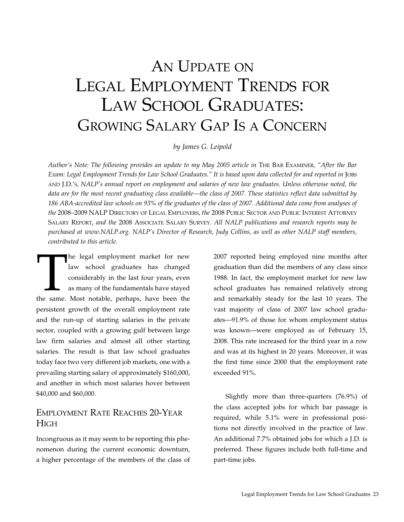# AN UPDATE ON Legal Employment Trends for LAW SCHOOL GRADUATES: Growing Salary Gap Is a Concern

*by James G. Leipold*

*Author's Note: The following provides an update to my May 2005 article in* The Bar Examiner*, "After the Bar Exam: Legal Employment Trends for Law School Graduates." It is based upon data collected for and reported in* Jobs and J.D.'s*, NALP's annual report on employment and salaries of new law graduates. Unless otherwise noted, the data are for the most recent graduating class available—the class of 2007. These statistics reflect data submitted by 186 ABA-accredited law schools on 93% of the graduates of the class of 2007. Additional data come from analyses of the* 2008–2009 NALP Directory of Legal Employers*, the* 2008 Public Sector and Public Interest Attorney Salary Report, *and the* 2008 Associate Salary Survey. *All NALP publications and research reports may be purchased at www.NALP.org. NALP's Director of Research, Judy Collins, as well as other NALP staff members, contributed to this article.*

The legal employment market for new law school graduates has changed considerably in the last four years, even as many of the fundamentals have stayed the same. Most notable, perhaps, have been the law school graduates has changed considerably in the last four years, even as many of the fundamentals have stayed persistent growth of the overall employment rate and the run-up of starting salaries in the private sector, coupled with a growing gulf between large law firm salaries and almost all other starting salaries. The result is that law school graduates today face two very different job markets, one with a prevailing starting salary of approximately \$160,000, and another in which most salaries hover between \$40,000 and \$60,000.

## Employment Rate Reaches 20-Year **H**<sub>IGH</sub>

Incongruous as it may seem to be reporting this phenomenon during the current economic downturn, a higher percentage of the members of the class of 2007 reported being employed nine months after graduation than did the members of any class since 1988. In fact, the employment market for new law school graduates has remained relatively strong and remarkably steady for the last 10 years. The vast majority of class of 2007 law school graduates—91.9% of those for whom employment status was known—were employed as of February 15, 2008. This rate increased for the third year in a row and was at its highest in 20 years. Moreover, it was the first time since 2000 that the employment rate exceeded 91%.

Slightly more than three-quarters (76.9%) of the class accepted jobs for which bar passage is required, while 5.1% were in professional positions not directly involved in the practice of law. An additional 7.7% obtained jobs for which a J.D. is preferred. These figures include both full-time and part-time jobs.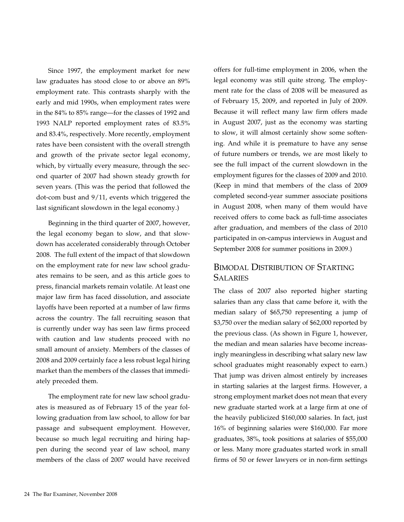Since 1997, the employment market for new law graduates has stood close to or above an 89% employment rate. This contrasts sharply with the early and mid 1990s, when employment rates were in the 84% to 85% range—for the classes of 1992 and 1993 NALP reported employment rates of 83.5% and 83.4%, respectively. More recently, employment rates have been consistent with the overall strength and growth of the private sector legal economy, which, by virtually every measure, through the second quarter of 2007 had shown steady growth for seven years. (This was the period that followed the dot-com bust and 9/11, events which triggered the last significant slowdown in the legal economy.)

Beginning in the third quarter of 2007, however, the legal economy began to slow, and that slowdown has accelerated considerably through October 2008. The full extent of the impact of that slowdown on the employment rate for new law school graduates remains to be seen, and as this article goes to press, financial markets remain volatile. At least one major law firm has faced dissolution, and associate layoffs have been reported at a number of law firms across the country. The fall recruiting season that is currently under way has seen law firms proceed with caution and law students proceed with no small amount of anxiety. Members of the classes of 2008 and 2009 certainly face a less robust legal hiring market than the members of the classes that immediately preceded them.

The employment rate for new law school graduates is measured as of February 15 of the year following graduation from law school, to allow for bar passage and subsequent employment. However, because so much legal recruiting and hiring happen during the second year of law school, many members of the class of 2007 would have received offers for full-time employment in 2006, when the legal economy was still quite strong. The employment rate for the class of 2008 will be measured as of February 15, 2009, and reported in July of 2009. Because it will reflect many law firm offers made in August 2007, just as the economy was starting to slow, it will almost certainly show some softening. And while it is premature to have any sense of future numbers or trends, we are most likely to see the full impact of the current slowdown in the employment figures for the classes of 2009 and 2010. (Keep in mind that members of the class of 2009 completed second-year summer associate positions in August 2008, when many of them would have received offers to come back as full-time associates after graduation, and members of the class of 2010 participated in on-campus interviews in August and September 2008 for summer positions in 2009.)

## Bimodal Distribution of Starting **SALARIES**

The class of 2007 also reported higher starting salaries than any class that came before it, with the median salary of \$65,750 representing a jump of \$3,750 over the median salary of \$62,000 reported by the previous class. (As shown in Figure 1, however, the median and mean salaries have become increasingly meaningless in describing what salary new law school graduates might reasonably expect to earn.) That jump was driven almost entirely by increases in starting salaries at the largest firms. However, a strong employment market does not mean that every new graduate started work at a large firm at one of the heavily publicized \$160,000 salaries. In fact, just 16% of beginning salaries were \$160,000. Far more graduates, 38%, took positions at salaries of \$55,000 or less. Many more graduates started work in small firms of 50 or fewer lawyers or in non-firm settings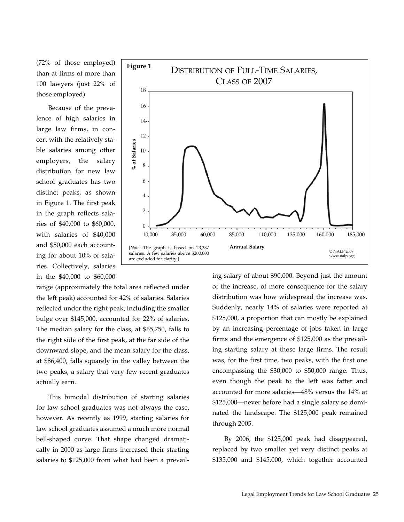(72% of those employed) than at firms of more than 100 lawyers (just 22% of those employed).

Because of the prevalence of high salaries in large law firms, in concert with the relatively stable salaries among other employers, the salary distribution for new law school graduates has two distinct peaks, as shown in Figure 1. The first peak in the graph reflects salaries of \$40,000 to \$60,000, with salaries of \$40,000 and \$50,000 each accounting for about 10% of salaries. Collectively, salaries in the \$40,000 to \$60,000



This bimodal distribution of starting salaries for law school graduates was not always the case, however. As recently as 1999, starting salaries for law school graduates assumed a much more normal bell-shaped curve. That shape changed dramatically in 2000 as large firms increased their starting salaries to \$125,000 from what had been a prevail-



ing salary of about \$90,000. Beyond just the amount of the increase, of more consequence for the salary distribution was how widespread the increase was. Suddenly, nearly 14% of salaries were reported at \$125,000, a proportion that can mostly be explained by an increasing percentage of jobs taken in large firms and the emergence of \$125,000 as the prevailing starting salary at those large firms. The result was, for the first time, two peaks, with the first one encompassing the \$30,000 to \$50,000 range. Thus, even though the peak to the left was fatter and accounted for more salaries—48% versus the 14% at \$125,000—never before had a single salary so dominated the landscape. The \$125,000 peak remained through 2005.

By 2006, the \$125,000 peak had disappeared, replaced by two smaller yet very distinct peaks at \$135,000 and \$145,000, which together accounted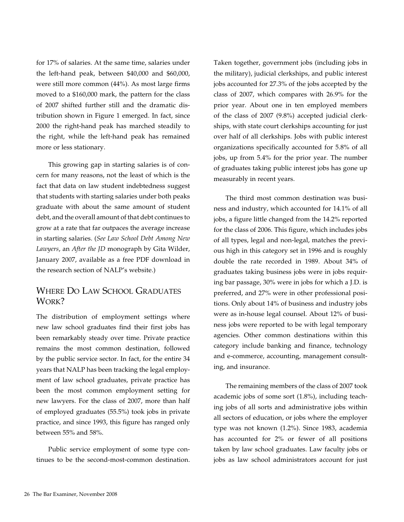for 17% of salaries. At the same time, salaries under the left-hand peak, between \$40,000 and \$60,000, were still more common (44%). As most large firms moved to a \$160,000 mark, the pattern for the class of 2007 shifted further still and the dramatic distribution shown in Figure 1 emerged. In fact, since 2000 the right-hand peak has marched steadily to the right, while the left-hand peak has remained more or less stationary.

This growing gap in starting salaries is of concern for many reasons, not the least of which is the fact that data on law student indebtedness suggest that students with starting salaries under both peaks graduate with about the same amount of student debt, and the overall amount of that debt continues to grow at a rate that far outpaces the average increase in starting salaries. (*See Law School Debt Among New Lawyers*, an *After the JD* monograph by Gita Wilder, January 2007, available as a free PDF download in the research section of NALP's website.)

### Where Do Law School Graduates WORK?

The distribution of employment settings where new law school graduates find their first jobs has been remarkably steady over time. Private practice remains the most common destination, followed by the public service sector. In fact, for the entire 34 years that NALP has been tracking the legal employment of law school graduates, private practice has been the most common employment setting for new lawyers. For the class of 2007, more than half of employed graduates (55.5%) took jobs in private practice, and since 1993, this figure has ranged only between 55% and 58%.

Public service employment of some type continues to be the second-most-common destination.

Taken together, government jobs (including jobs in the military), judicial clerkships, and public interest jobs accounted for 27.3% of the jobs accepted by the class of 2007, which compares with 26.9% for the prior year. About one in ten employed members of the class of 2007 (9.8%) accepted judicial clerkships, with state court clerkships accounting for just over half of all clerkships. Jobs with public interest organizations specifically accounted for 5.8% of all jobs, up from 5.4% for the prior year. The number of graduates taking public interest jobs has gone up measurably in recent years.

The third most common destination was business and industry, which accounted for 14.1% of all jobs, a figure little changed from the 14.2% reported for the class of 2006. This figure, which includes jobs of all types, legal and non-legal, matches the previous high in this category set in 1996 and is roughly double the rate recorded in 1989. About 34% of graduates taking business jobs were in jobs requiring bar passage, 30% were in jobs for which a J.D. is preferred, and 27% were in other professional positions. Only about 14% of business and industry jobs were as in-house legal counsel. About 12% of business jobs were reported to be with legal temporary agencies. Other common destinations within this category include banking and finance, technology and e-commerce, accounting, management consulting, and insurance.

The remaining members of the class of 2007 took academic jobs of some sort (1.8%), including teaching jobs of all sorts and administrative jobs within all sectors of education, or jobs where the employer type was not known (1.2%). Since 1983, academia has accounted for 2% or fewer of all positions taken by law school graduates. Law faculty jobs or jobs as law school administrators account for just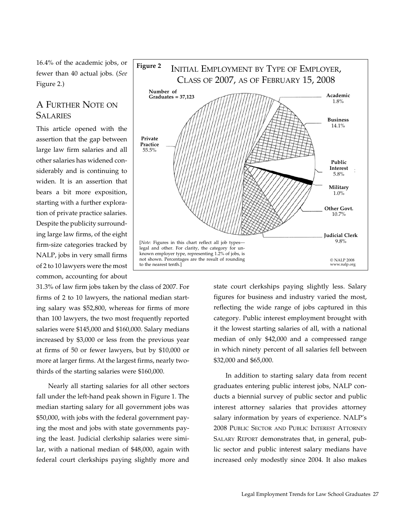16.4% of the academic jobs, or fewer than 40 actual jobs. (*See* Figure 2.)

## A Further Note on **SALARIES**

This article opened with the assertion that the gap between large law firm salaries and all other salaries has widened considerably and is continuing to widen. It is an assertion that bears a bit more exposition, starting with a further exploration of private practice salaries. Despite the publicity surrounding large law firms, of the eight firm-size categories tracked by NALP, jobs in very small firms of 2 to 10 lawyers were the most common, accounting for about



Nearly all starting salaries for all other sectors fall under the left-hand peak shown in Figure 1. The median starting salary for all government jobs was \$50,000, with jobs with the federal government paying the most and jobs with state governments paying the least. Judicial clerkship salaries were similar, with a national median of \$48,000, again with federal court clerkships paying slightly more and



state court clerkships paying slightly less. Salary figures for business and industry varied the most, reflecting the wide range of jobs captured in this category. Public interest employment brought with it the lowest starting salaries of all, with a national median of only \$42,000 and a compressed range in which ninety percent of all salaries fell between \$32,000 and \$65,000.

In addition to starting salary data from recent graduates entering public interest jobs, NALP conducts a biennial survey of public sector and public interest attorney salaries that provides attorney salary information by years of experience. NALP's 2008 Public Sector and Public Interest Attorney Salary Report demonstrates that, in general, public sector and public interest salary medians have increased only modestly since 2004. It also makes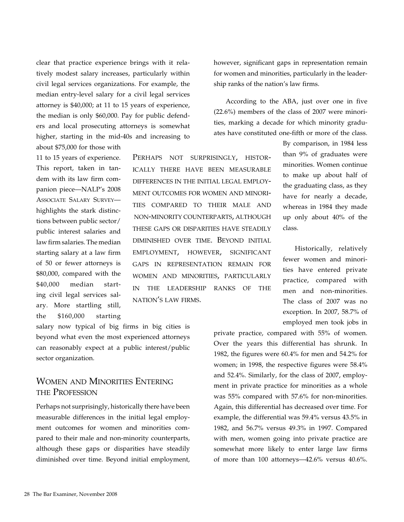clear that practice experience brings with it relatively modest salary increases, particularly within civil legal services organizations. For example, the median entry-level salary for a civil legal services attorney is \$40,000; at 11 to 15 years of experience, the median is only \$60,000. Pay for public defenders and local prosecuting attorneys is somewhat higher, starting in the mid-40s and increasing to about \$75,000 for those with

11 to 15 years of experience. This report, taken in tandem with its law firm companion piece—NALP's 2008 Associate Salary Survey highlights the stark distinctions between public sector/ public interest salaries and law firm salaries. The median starting salary at a law firm of 50 or fewer attorneys is \$80,000, compared with the \$40,000 median starting civil legal services salary. More startling still, the \$160,000 starting

ically there have been measurable differences in the initial legal employment outcomes for women and minorities compared to their male and non-minority counterparts, although these gaps or disparities have steadily diminished over time. Beyond initial employment, however, significant gaps in representation remain for women and minorities, particularly in the leadership ranks of the nation's law firms.

salary now typical of big firms in big cities is beyond what even the most experienced attorneys can reasonably expect at a public interest/public sector organization.

## Women and Minorities Entering the Profession

Perhaps not surprisingly, historically there have been measurable differences in the initial legal employment outcomes for women and minorities compared to their male and non-minority counterparts, although these gaps or disparities have steadily diminished over time. Beyond initial employment, however, significant gaps in representation remain for women and minorities, particularly in the leadership ranks of the nation's law firms.

According to the ABA, just over one in five (22.6%) members of the class of 2007 were minorities, marking a decade for which minority graduates have constituted one-fifth or more of the class.

Perhaps not surprisingly, histor-

By comparison, in 1984 less than 9% of graduates were minorities. Women continue to make up about half of the graduating class, as they have for nearly a decade, whereas in 1984 they made up only about 40% of the class.

Historically, relatively fewer women and minorities have entered private practice, compared with men and non-minorities. The class of 2007 was no exception. In 2007, 58.7% of employed men took jobs in

private practice, compared with 55% of women. Over the years this differential has shrunk. In 1982, the figures were 60.4% for men and 54.2% for women; in 1998, the respective figures were 58.4% and 52.4%. Similarly, for the class of 2007, employment in private practice for minorities as a whole was 55% compared with 57.6% for non-minorities. Again, this differential has decreased over time. For example, the differential was 59.4% versus 43.5% in 1982, and 56.7% versus 49.3% in 1997. Compared with men, women going into private practice are somewhat more likely to enter large law firms of more than 100 attorneys—42.6% versus 40.6%.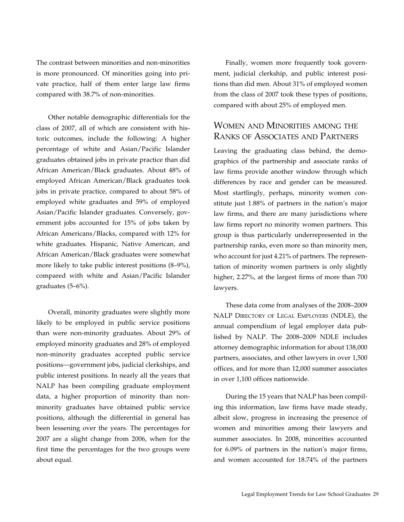The contrast between minorities and non-minorities is more pronounced. Of minorities going into private practice, half of them enter large law firms compared with 38.7% of non-minorities.

Other notable demographic differentials for the class of 2007, all of which are consistent with historic outcomes, include the following: A higher percentage of white and Asian/Pacific Islander graduates obtained jobs in private practice than did African American/Black graduates. About 48% of employed African American/Black graduates took jobs in private practice, compared to about 58% of employed white graduates and 59% of employed Asian/Pacific Islander graduates. Conversely, government jobs accounted for 15% of jobs taken by African Americans/Blacks, compared with 12% for white graduates. Hispanic, Native American, and African American/Black graduates were somewhat more likely to take public interest positions (8–9%), compared with white and Asian/Pacific Islander graduates (5–6%).

Overall, minority graduates were slightly more likely to be employed in public service positions than were non-minority graduates. About 29% of employed minority graduates and 28% of employed non-minority graduates accepted public service positions—government jobs, judicial clerkships, and public interest positions. In nearly all the years that NALP has been compiling graduate employment data, a higher proportion of minority than nonminority graduates have obtained public service positions, although the differential in general has been lessening over the years. The percentages for 2007 are a slight change from 2006, when for the first time the percentages for the two groups were about equal.

Finally, women more frequently took government, judicial clerkship, and public interest positions than did men. About 31% of employed women from the class of 2007 took these types of positions, compared with about 25% of employed men.

## Women and Minorities among the Ranks of Associates and Partners

Leaving the graduating class behind, the demographics of the partnership and associate ranks of law firms provide another window through which differences by race and gender can be measured. Most startlingly, perhaps, minority women constitute just 1.88% of partners in the nation's major law firms, and there are many jurisdictions where law firms report no minority women partners. This group is thus particularly underrepresented in the partnership ranks, even more so than minority men, who account for just 4.21% of partners. The representation of minority women partners is only slightly higher, 2.27%, at the largest firms of more than 700 lawyers.

These data come from analyses of the 2008–2009 NALP Directory of Legal Employers (NDLE), the annual compendium of legal employer data published by NALP. The 2008–2009 NDLE includes attorney demographic information for about 138,000 partners, associates, and other lawyers in over 1,500 offices, and for more than 12,000 summer associates in over 1,100 offices nationwide.

During the 15 years that NALP has been compiling this information, law firms have made steady, albeit slow, progress in increasing the presence of women and minorities among their lawyers and summer associates. In 2008, minorities accounted for 6.09% of partners in the nation's major firms, and women accounted for 18.74% of the partners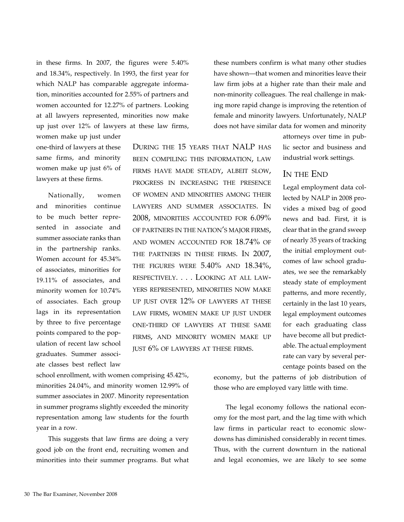in these firms. In 2007, the figures were 5.40% and 18.34%, respectively. In 1993, the first year for which NALP has comparable aggregate information, minorities accounted for 2.55% of partners and women accounted for 12.27% of partners. Looking at all lawyers represented, minorities now make up just over 12% of lawyers at these law firms,

women make up just under one-third of lawyers at these same firms, and minority women make up just 6% of lawyers at these firms.

Nationally, women and minorities continue to be much better represented in associate and summer associate ranks than in the partnership ranks. Women account for 45.34% of associates, minorities for 19.11% of associates, and minority women for 10.74% of associates. Each group lags in its representation by three to five percentage points compared to the population of recent law school graduates. Summer associate classes best reflect law

During the 15 years that NALP has been compiling this information, law firms have made steady, albeit slow, progress in increasing the presence of women and minorities among their lawyers and summer associates. In 2008, minorities accounted for 6.09% of partners in the nation's major firms, and women accounted for 18.74% of the partners in these firms. In 2007, the figures were 5.40% and 18.34%, respectively. . . . Looking at all lawyers represented, minorities now make up just over 12% of lawyers at these law firms, women make up just under one-third of lawyers at these same firms, and minority women make up just 6% of lawyers at these firms.

school enrollment, with women comprising 45.42%, minorities 24.04%, and minority women 12.99% of summer associates in 2007. Minority representation in summer programs slightly exceeded the minority representation among law students for the fourth year in a row.

This suggests that law firms are doing a very good job on the front end, recruiting women and minorities into their summer programs. But what these numbers confirm is what many other studies have shown—that women and minorities leave their law firm jobs at a higher rate than their male and non-minority colleagues. The real challenge in making more rapid change is improving the retention of female and minority lawyers. Unfortunately, NALP does not have similar data for women and minority

> attorneys over time in public sector and business and industrial work settings.

#### In the End

Legal employment data collected by NALP in 2008 provides a mixed bag of good news and bad. First, it is clear that in the grand sweep of nearly 35 years of tracking the initial employment outcomes of law school graduates, we see the remarkably steady state of employment patterns, and more recently, certainly in the last 10 years, legal employment outcomes for each graduating class have become all but predictable. The actual employment rate can vary by several percentage points based on the

economy, but the patterns of job distribution of those who are employed vary little with time.

The legal economy follows the national economy for the most part, and the lag time with which law firms in particular react to economic slowdowns has diminished considerably in recent times. Thus, with the current downturn in the national and legal economies, we are likely to see some